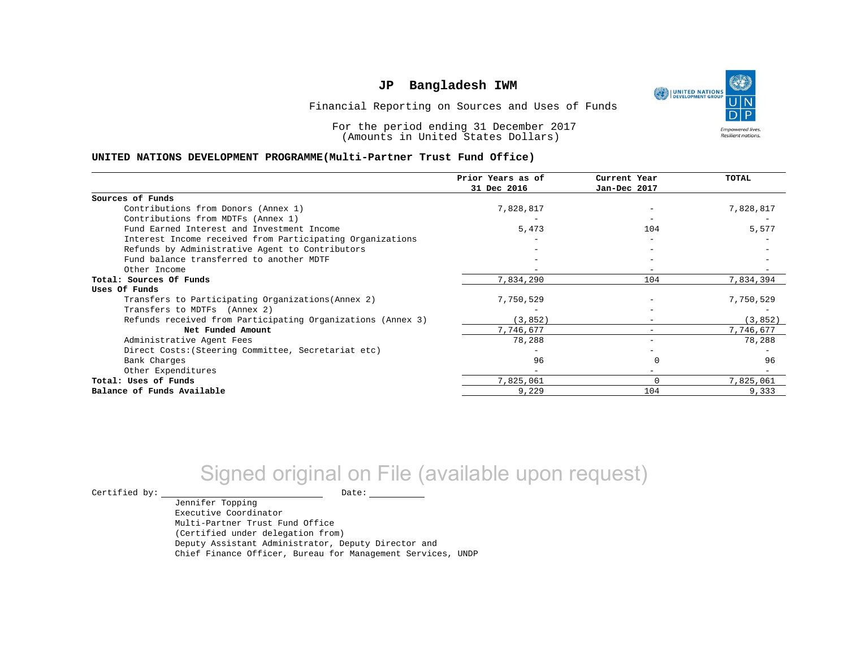١ UNITED NATIONS **Empowered lives** Resilient nations.

Financial Reporting on Sources and Uses of Funds

For the period ending 31 December 2017 (Amounts in United States Dollars)

#### **UNITED NATIONS DEVELOPMENT PROGRAMME(Multi-Partner Trust Fund Office)**

|                                                             | Prior Years as of<br>31 Dec 2016 | Current Year<br>Jan-Dec 2017 | <b>TOTAL</b> |
|-------------------------------------------------------------|----------------------------------|------------------------------|--------------|
|                                                             |                                  |                              |              |
| Sources of Funds                                            |                                  |                              |              |
| Contributions from Donors (Annex 1)                         | 7,828,817                        |                              | 7,828,817    |
| Contributions from MDTFs (Annex 1)                          |                                  |                              |              |
| Fund Earned Interest and Investment Income                  | 5,473                            | 104                          | 5,577        |
| Interest Income received from Participating Organizations   |                                  |                              |              |
| Refunds by Administrative Agent to Contributors             |                                  |                              |              |
| Fund balance transferred to another MDTF                    |                                  |                              |              |
| Other Income                                                |                                  |                              |              |
| Total: Sources Of Funds                                     | 7,834,290                        | 104                          | 7,834,394    |
| Uses Of Funds                                               |                                  |                              |              |
| Transfers to Participating Organizations (Annex 2)          | 7,750,529                        |                              | 7,750,529    |
| Transfers to MDTFs (Annex 2)                                |                                  |                              |              |
| Refunds received from Participating Organizations (Annex 3) | (3, 852)                         | $\overline{\phantom{0}}$     | (3, 852)     |
| Net Funded Amount                                           | 7,746,677                        | $\overline{\phantom{0}}$     | 7,746,677    |
| Administrative Agent Fees                                   | 78,288                           |                              | 78,288       |
| Direct Costs: (Steering Committee, Secretariat etc)         |                                  |                              |              |
| Bank Charges                                                | 96                               |                              | 96           |
| Other Expenditures                                          |                                  |                              |              |
| Total: Uses of Funds                                        | 7,825,061                        |                              | 7,825,061    |
| Balance of Funds Available                                  | 9,229                            | 104                          | 9,333        |

# Signed original on File (available upon request)

 $\begin{tabular}{ccccc} \multicolumn{2}{c|}{\textbf{Certified by:}} & \multicolumn{2}{c|}{\textbf{Date:}} \end{tabular}$ 

Jennifer Topping Executive Coordinator Multi-Partner Trust Fund Office (Certified under delegation from) Deputy Assistant Administrator, Deputy Director and Chief Finance Officer, Bureau for Management Services, UNDP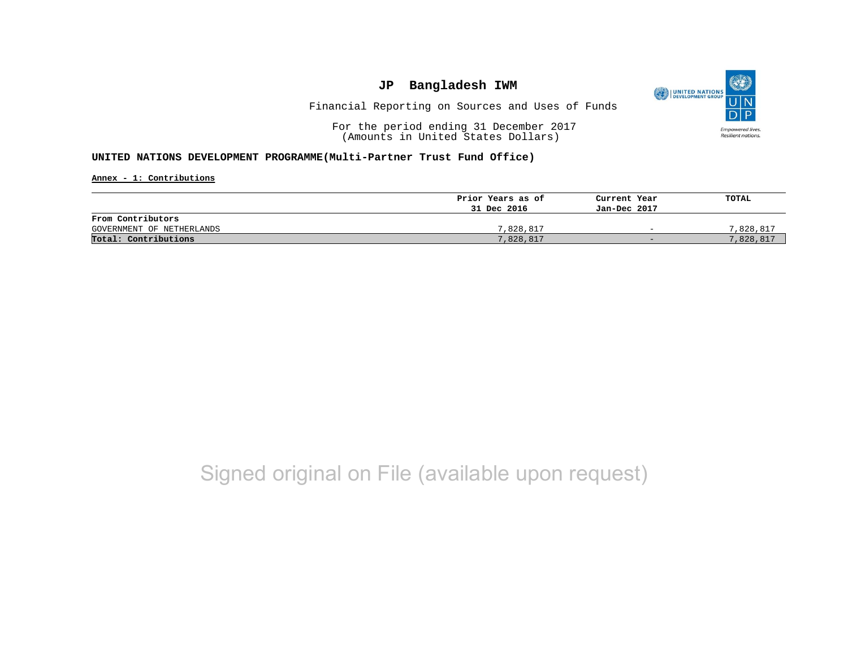

Financial Reporting on Sources and Uses of Funds

For the period ending 31 December 2017 (Amounts in United States Dollars)

#### **UNITED NATIONS DEVELOPMENT PROGRAMME(Multi-Partner Trust Fund Office)**

**Annex - 1: Contributions**

|                           | Prior Years as of | Current Year             | TOTAL     |
|---------------------------|-------------------|--------------------------|-----------|
|                           | 31 Dec 2016       | Jan-Dec 2017             |           |
| From Contributors         |                   |                          |           |
| GOVERNMENT OF NETHERLANDS | 7,828,817         | $\overline{\phantom{0}}$ | 7,828,817 |
| Total: Contributions      | 7,828,817         | $-$                      | 7,828,817 |

## Signed original on File (available upon request)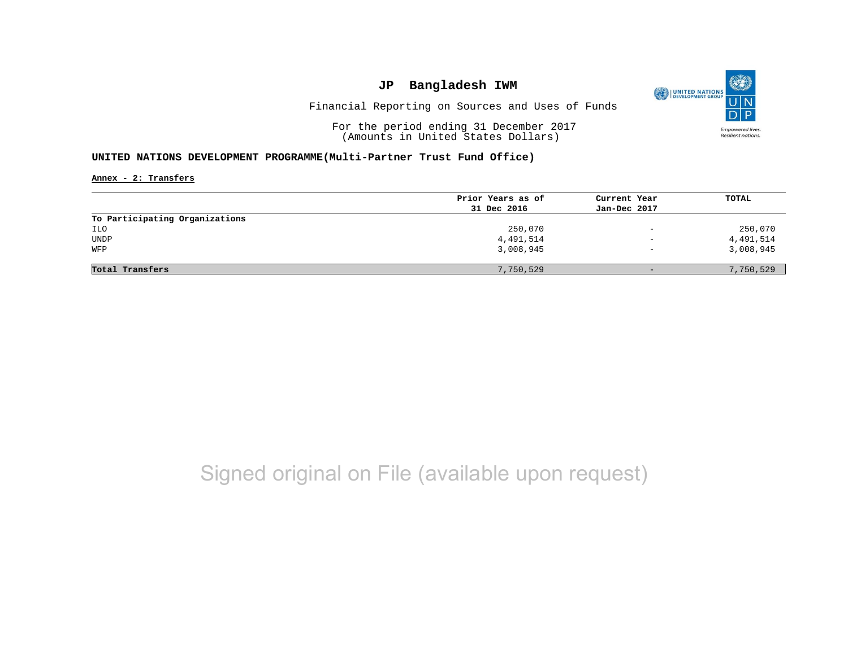

Financial Reporting on Sources and Uses of Funds

For the period ending 31 December 2017 (Amounts in United States Dollars)

#### **UNITED NATIONS DEVELOPMENT PROGRAMME(Multi-Partner Trust Fund Office)**

**Annex - 2: Transfers**

|                                | Prior Years as of | Current Year             | TOTAL     |
|--------------------------------|-------------------|--------------------------|-----------|
|                                | 31 Dec 2016       | Jan-Dec 2017             |           |
| To Participating Organizations |                   |                          |           |
| ILO                            | 250,070           | $\overline{\phantom{m}}$ | 250,070   |
| UNDP                           | 4,491,514         | $\overline{\phantom{0}}$ | 4,491,514 |
| WFP                            | 3,008,945         | $\overline{\phantom{0}}$ | 3,008,945 |
|                                |                   |                          |           |
| Total Transfers                | 7,750,529         | $-$                      | 7,750,529 |

## Signed original on File (available upon request)